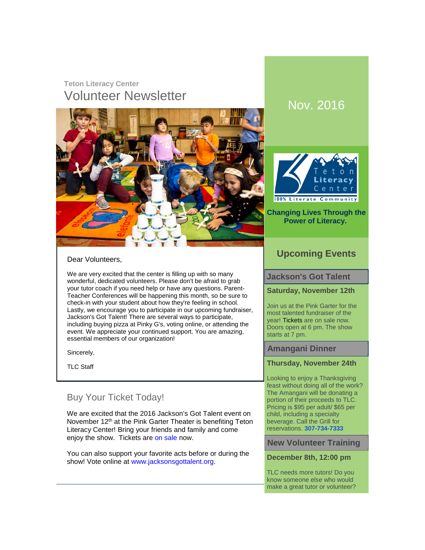# **Teton Literacy Center** Volunteer Newsletter Nov. 2016





#### **Changing Lives Through the Power of Literacy.**

#### Dear Volunteers,

We are very excited that the center is filling up with so many wonderful, dedicated volunteers. Please don't be afraid to grab your tutor coach if you need help or have any questions. Parent-Teacher Conferences will be happening this month, so be sure to check-in with your student about how they're feeling in school. Lastly, we encourage you to participate in our upcoming fundraiser, Jackson's Got Talent! There are several ways to participate, including buying pizza at Pinky G's, voting online, or attending the event. We appreciate your continued support. You are amazing, essential members of our organization!

Sincerely,

TLC Staff

# Buy Your Ticket Today!

We are excited that the 2016 Jackson's Got Talent event on November 12<sup>th</sup> at the Pink Garter Theater is benefiting Teton Literacy Center! Bring your friends and family and come enjoy the show. Tickets are [on sale](http://click.icptrack.com/icp/relay.php?r=1026298307&msgid=1953244&act=VU9G&c=391461&destination=http%3A%2F%2Fwww.jacksonsgottalent.org%2Ftickets) now.

You can also support your favorite acts before or during the show! Vote online at [www.jacksonsgottalent.org.](http://click.icptrack.com/icp/relay.php?r=1026298307&msgid=1953244&act=VU9G&c=391461&destination=http%3A%2F%2Fwww.jacksonsgottalent.org%2F)

### **Upcoming Events**

#### **Jackson's Got Talent**

#### **Saturday, November 12th**

Join us at the Pink Garter for the most talented fundraiser of the year! [Tickets](http://click.icptrack.com/icp/relay.php?r=1026298307&msgid=1953244&act=VU9G&c=391461&destination=http%3A%2F%2Fwww.jacksonsgottalent.org) are on sale now. Doors open at 6 pm. The show starts at 7 pm.

#### **Amangani Dinner**

#### **Thursday, November 24th**

Looking to enjoy a Thanksgiving feast without doing all of the work? The Amangani will be donating a portion of their proceeds to TLC. Pricing is \$95 per adult/ \$65 per child, including a specialty beverage. Call the Grill for reservations. **[307-734-7333](tel:307-734-7333)**

#### **New Volunteer Training**

#### **December 8th, 12:00 pm**

TLC needs more tutors! Do you know someone else who would make a great tutor or volunteer?